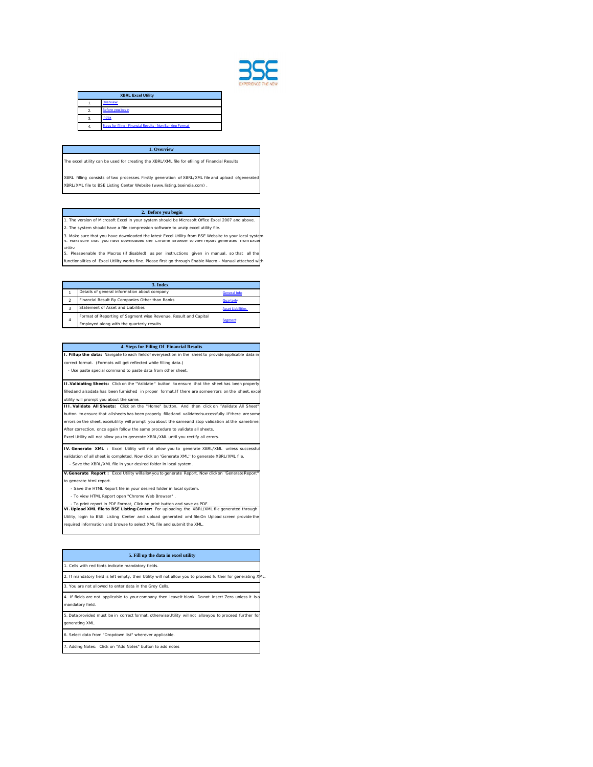

| <b>XBRL Excel Utility</b> |                                                           |  |  |
|---------------------------|-----------------------------------------------------------|--|--|
|                           | <b>Overview</b>                                           |  |  |
| $\overline{2}$            | <b>Before you hegin</b>                                   |  |  |
| 3.                        | Index                                                     |  |  |
| 4.                        | Steps for filing - Financial Results - Non Banking Format |  |  |

## **1. Overview**

The excel utility can be used for creating the XBRL/XML file for efiling of Financial Results

XBRL filling consists of two processes. Firstly generation of XBRL/XML file and upload ofgenerate XBRL/XML file to BSE Listing Center Website (www.listing.bseindia.com) .

## **2. Before you begin**

3. Make sure that you have downloaded the latest Excel Utility from BSE Website to your local system.<br>4. Maki sure that you have downloaded the Chrome Browser to view report generated from Excel 1. The version of Microsoft Excel in your system should be Microsoft Office Excel 2007 and above. 2. The system should have a file compression software to unzip excel utility file.

utility 5. Pleaseenable the Macros (if disabled) as per instructions given in manual, so that all the nctionalities of Excel Utility works fine. Please first go through Enable Macro - Manual attached v

| 3. Index         |                                                                 |                          |  |
|------------------|-----------------------------------------------------------------|--------------------------|--|
|                  | Details of general information about company                    | <b>General Info</b>      |  |
|                  | Financial Result By Companies Other than Banks                  | <b>Quarterly</b>         |  |
| 3                | Statement of Asset and Liabilities                              | <b>Asset Liabilities</b> |  |
| $\boldsymbol{A}$ | Format of Reporting of Segment wise Revenue, Result and Capital | <b>Seement</b>           |  |
|                  | Employed along with the quarterly results                       |                          |  |

**4. Steps for Filing Of Financial Results I. Fillup the data:** Navigate to each field of everysection in the sheet to provide applicable data in correct format. (Formats will get reflected while filling data.) - Use paste special command to paste data from other sheet.

**II.Validating Sheets:** Click on the "Validate" button to ensure that the sheet has been properly edand alsodata has been furnished in proper format.If there are someerrors on the sheet, ex utility will prompt you about the same.

**III. Validate All Sheets:** Click on the "Home" button. And then click on "Validate All Sh button to ensure that allsheets has been properly filledand validated successfully. If there are so errors on the sheet, excelutility will prompt you about the sameand stop validation at the sametin After correction, once again follow the same procedure to validate all sheets.

Excel Utility will not allow you to generate XBRL/XML until you rectify all errors.

**IV. Generate XML :** Excel Utility will not allow you to generate XBRL/XML unless success validation of all sheet is completed. Now click on 'Generate XML'' to generate XBRL/XML file.

 - Save the XBRL/XML file in your desired folder in local system. **V.Generate Report :** ExcelUtility willallowyou to generate Report. Now clickon 'GenerateReport''

to generate html report.

 - Save the HTML Report file in your desired folder in local system. - To view HTML Report open "Chrome Web Browser" .

 - To print report in PDF Format, Click on print button and save as PDF. **VI.Upload XML file to BSE Listing Center:** For uploading the XBRL/XML file generated through Utility, login to BSE Listing Center and upload generated xml file.On Upload screen provide the quired information and browse to select XML file and submit the XML.

| 5. Fill up the data in excel utility                                                                                      |
|---------------------------------------------------------------------------------------------------------------------------|
| 1. Cells with red fonts indicate mandatory fields.                                                                        |
| 2. If mandatory field is left empty, then Utility will not allow you to proceed further for generating XML.               |
| 3. You are not allowed to enter data in the Grey Cells.                                                                   |
| 4. If fields are not applicable to your company then leavelt blank. Donot insert Zero unless it is a<br>mandatory field.  |
| 5. Data provided must be in correct format, otherwise Utility will not allowyou to proceed further for<br>generating XML. |
| 6. Select data from "Dropdown list" wherever applicable.                                                                  |
|                                                                                                                           |

7. Adding Notes: Click on "Add Notes" button to add notes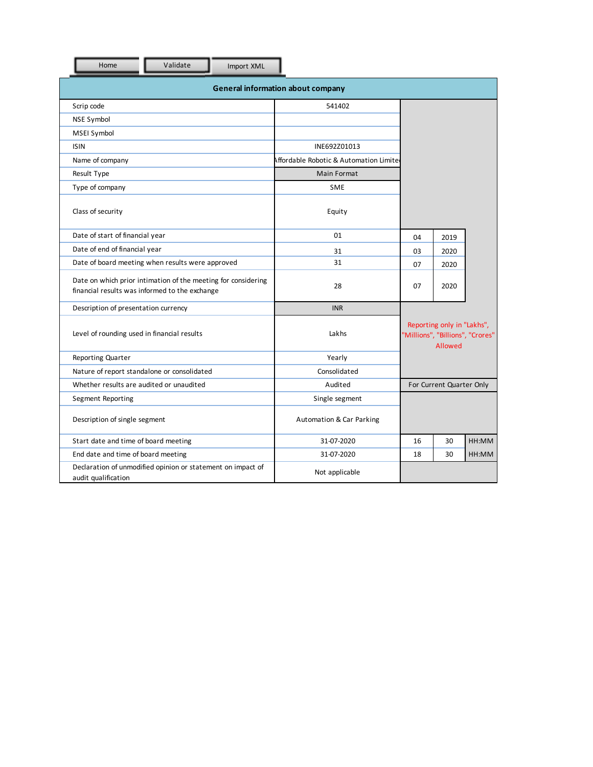| Validate<br>Home                                                                                                | Import XML |                                        |                          |                                                                           |       |  |
|-----------------------------------------------------------------------------------------------------------------|------------|----------------------------------------|--------------------------|---------------------------------------------------------------------------|-------|--|
| <b>General information about company</b>                                                                        |            |                                        |                          |                                                                           |       |  |
| Scrip code                                                                                                      |            | 541402                                 |                          |                                                                           |       |  |
| <b>NSE Symbol</b>                                                                                               |            |                                        |                          |                                                                           |       |  |
| MSEI Symbol                                                                                                     |            |                                        |                          |                                                                           |       |  |
| <b>ISIN</b>                                                                                                     |            | INE692Z01013                           |                          |                                                                           |       |  |
| Name of company                                                                                                 |            | Affordable Robotic & Automation Limite |                          |                                                                           |       |  |
| Result Type                                                                                                     |            | Main Format                            |                          |                                                                           |       |  |
| Type of company                                                                                                 |            | <b>SME</b>                             |                          |                                                                           |       |  |
| Class of security                                                                                               |            | Equity                                 |                          |                                                                           |       |  |
| Date of start of financial year                                                                                 |            | 01                                     | 04                       | 2019                                                                      |       |  |
| Date of end of financial year                                                                                   |            | 31                                     | 03                       | 2020                                                                      |       |  |
| Date of board meeting when results were approved                                                                |            | 31                                     | 07                       | 2020                                                                      |       |  |
| Date on which prior intimation of the meeting for considering<br>financial results was informed to the exchange |            | 28                                     | 07                       | 2020                                                                      |       |  |
| Description of presentation currency                                                                            |            | <b>INR</b>                             |                          |                                                                           |       |  |
| Level of rounding used in financial results                                                                     |            | Lakhs                                  |                          | Reporting only in "Lakhs",<br>'Millions", "Billions", "Crores"<br>Allowed |       |  |
| Reporting Quarter                                                                                               |            | Yearly                                 |                          |                                                                           |       |  |
| Nature of report standalone or consolidated                                                                     |            | Consolidated                           |                          |                                                                           |       |  |
| Whether results are audited or unaudited                                                                        |            | Audited                                | For Current Quarter Only |                                                                           |       |  |
| Segment Reporting                                                                                               |            | Single segment                         |                          |                                                                           |       |  |
| Description of single segment                                                                                   |            | Automation & Car Parking               |                          |                                                                           |       |  |
| Start date and time of board meeting                                                                            |            | 31-07-2020                             | 16                       | 30                                                                        | HH:MM |  |
| End date and time of board meeting                                                                              |            | 31-07-2020                             | 18                       | 30                                                                        | HH:MM |  |
| Declaration of unmodified opinion or statement on impact of<br>audit qualification                              |            | Not applicable                         |                          |                                                                           |       |  |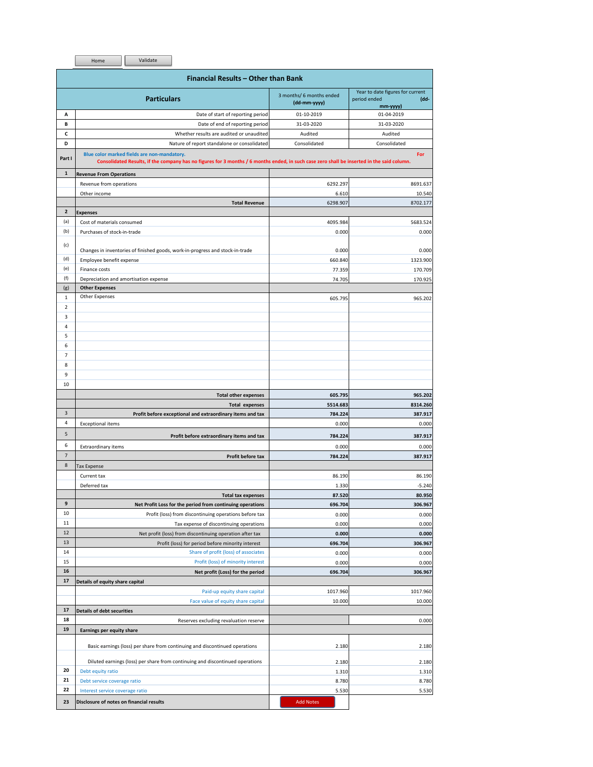|                         | Home<br>Validate                                                                                                                                                                          |                                          |                                                                                                                                                                                                                                                         |
|-------------------------|-------------------------------------------------------------------------------------------------------------------------------------------------------------------------------------------|------------------------------------------|---------------------------------------------------------------------------------------------------------------------------------------------------------------------------------------------------------------------------------------------------------|
|                         | Financial Results - Other than Bank                                                                                                                                                       |                                          |                                                                                                                                                                                                                                                         |
|                         | <b>Particulars</b>                                                                                                                                                                        | 3 months/ 6 months ended<br>(dd-mm-yyyy) | Year to date figures for current<br>period ended<br>(dd-<br>$mm$ -yyyy $)$                                                                                                                                                                              |
| А                       | Date of start of reporting period                                                                                                                                                         | 01-10-2019                               | 01-04-2019                                                                                                                                                                                                                                              |
| В                       | Date of end of reporting period                                                                                                                                                           | 31-03-2020                               | 31-03-2020                                                                                                                                                                                                                                              |
| c                       | Whether results are audited or unaudited                                                                                                                                                  | Audited                                  | Audited                                                                                                                                                                                                                                                 |
| D                       | Nature of report standalone or consolidated                                                                                                                                               | Consolidated                             | Consolidated                                                                                                                                                                                                                                            |
| Part I                  | Blue color marked fields are non-mandatory.<br>Consolidated Results, if the company has no figures for 3 months / 6 months ended, in such case zero shall be inserted in the said column. |                                          | For                                                                                                                                                                                                                                                     |
| $\mathbf{1}$            | <b>Revenue From Operations</b>                                                                                                                                                            |                                          |                                                                                                                                                                                                                                                         |
|                         | Revenue from operations                                                                                                                                                                   | 6292.297                                 | 8691.637                                                                                                                                                                                                                                                |
|                         | Other income<br><b>Total Revenue</b>                                                                                                                                                      | 6.610                                    | 10.540                                                                                                                                                                                                                                                  |
| $\overline{\mathbf{2}}$ |                                                                                                                                                                                           | 6298.907                                 | 8702.177                                                                                                                                                                                                                                                |
| (a)                     | <b>Expenses</b><br>Cost of materials consumed                                                                                                                                             | 4095.984                                 |                                                                                                                                                                                                                                                         |
| (b)                     | Purchases of stock-in-trade                                                                                                                                                               | 0.000                                    | 5683.524<br>0.000                                                                                                                                                                                                                                       |
|                         |                                                                                                                                                                                           |                                          |                                                                                                                                                                                                                                                         |
| (c)                     | Changes in inventories of finished goods, work-in-progress and stock-in-trade                                                                                                             | 0.000                                    | 0.000                                                                                                                                                                                                                                                   |
| (d)                     | Employee benefit expense                                                                                                                                                                  | 660.840                                  | 1323.900                                                                                                                                                                                                                                                |
| (e)                     | Finance costs                                                                                                                                                                             | 77.359                                   | 170.709                                                                                                                                                                                                                                                 |
| (f)                     | Depreciation and amortisation expense                                                                                                                                                     | 74.705                                   | 170.925                                                                                                                                                                                                                                                 |
| (g)                     | <b>Other Expenses</b>                                                                                                                                                                     |                                          |                                                                                                                                                                                                                                                         |
| $\mathbf{1}$            | Other Expenses                                                                                                                                                                            | 605.795                                  | 965.202                                                                                                                                                                                                                                                 |
| $\overline{2}$          |                                                                                                                                                                                           |                                          |                                                                                                                                                                                                                                                         |
| 3                       |                                                                                                                                                                                           |                                          |                                                                                                                                                                                                                                                         |
| 4                       |                                                                                                                                                                                           |                                          |                                                                                                                                                                                                                                                         |
| 5                       |                                                                                                                                                                                           |                                          |                                                                                                                                                                                                                                                         |
| 6                       |                                                                                                                                                                                           |                                          |                                                                                                                                                                                                                                                         |
| $\overline{7}$          |                                                                                                                                                                                           |                                          |                                                                                                                                                                                                                                                         |
| 8                       |                                                                                                                                                                                           |                                          |                                                                                                                                                                                                                                                         |
| 9                       |                                                                                                                                                                                           |                                          |                                                                                                                                                                                                                                                         |
| 10                      |                                                                                                                                                                                           |                                          |                                                                                                                                                                                                                                                         |
|                         | <b>Total other expenses</b>                                                                                                                                                               |                                          |                                                                                                                                                                                                                                                         |
|                         |                                                                                                                                                                                           |                                          |                                                                                                                                                                                                                                                         |
|                         |                                                                                                                                                                                           | 605.795                                  |                                                                                                                                                                                                                                                         |
|                         | <b>Total expenses</b>                                                                                                                                                                     | 5514.683                                 |                                                                                                                                                                                                                                                         |
| 3                       | Profit before exceptional and extraordinary items and tax                                                                                                                                 | 784.224                                  |                                                                                                                                                                                                                                                         |
| $\overline{4}$          | <b>Exceptional items</b>                                                                                                                                                                  | 0.000                                    |                                                                                                                                                                                                                                                         |
| 5                       | Profit before extraordinary items and tax                                                                                                                                                 | 784.224                                  |                                                                                                                                                                                                                                                         |
| 6                       | Extraordinary items                                                                                                                                                                       | 0.000                                    |                                                                                                                                                                                                                                                         |
| $\overline{7}$          | Profit before tax                                                                                                                                                                         | 784.224                                  |                                                                                                                                                                                                                                                         |
| 8                       | <b>Tax Expense</b>                                                                                                                                                                        |                                          |                                                                                                                                                                                                                                                         |
|                         | Current tax                                                                                                                                                                               | 86.190                                   |                                                                                                                                                                                                                                                         |
|                         | Deferred tax                                                                                                                                                                              | 1.330                                    |                                                                                                                                                                                                                                                         |
|                         | <b>Total tax expenses</b>                                                                                                                                                                 | 87.520                                   |                                                                                                                                                                                                                                                         |
| 9                       | Net Profit Loss for the period from continuing operations                                                                                                                                 | 696.704                                  |                                                                                                                                                                                                                                                         |
| 10                      | Profit (loss) from discontinuing operations before tax                                                                                                                                    | 0.000                                    |                                                                                                                                                                                                                                                         |
| 11                      | Tax expense of discontinuing operations                                                                                                                                                   | 0.000                                    |                                                                                                                                                                                                                                                         |
| 12                      | Net profit (loss) from discontinuing operation after tax                                                                                                                                  | 0.000                                    |                                                                                                                                                                                                                                                         |
| 13                      | Profit (loss) for period before minority interest                                                                                                                                         | 696.704                                  |                                                                                                                                                                                                                                                         |
| 14                      | Share of profit (loss) of associates                                                                                                                                                      | 0.000                                    |                                                                                                                                                                                                                                                         |
| 15                      | Profit (loss) of minority interest                                                                                                                                                        | 0.000                                    |                                                                                                                                                                                                                                                         |
| 16                      | Net profit (Loss) for the period                                                                                                                                                          | 696.704                                  |                                                                                                                                                                                                                                                         |
| 17                      | Details of equity share capital                                                                                                                                                           |                                          |                                                                                                                                                                                                                                                         |
|                         | Paid-up equity share capital                                                                                                                                                              | 1017.960                                 |                                                                                                                                                                                                                                                         |
|                         | Face value of equity share capital                                                                                                                                                        | 10.000                                   |                                                                                                                                                                                                                                                         |
| 17                      | <b>Details of debt securities</b>                                                                                                                                                         |                                          |                                                                                                                                                                                                                                                         |
| 18                      | Reserves excluding revaluation reserve                                                                                                                                                    |                                          |                                                                                                                                                                                                                                                         |
| 19                      | Earnings per equity share                                                                                                                                                                 |                                          |                                                                                                                                                                                                                                                         |
|                         |                                                                                                                                                                                           | 2.180                                    |                                                                                                                                                                                                                                                         |
|                         | Basic earnings (loss) per share from continuing and discontinued operations                                                                                                               |                                          |                                                                                                                                                                                                                                                         |
|                         | Diluted earnings (loss) per share from continuing and discontinued operations                                                                                                             | 2.180                                    |                                                                                                                                                                                                                                                         |
| 20                      | Debt equity ratio                                                                                                                                                                         | 1.310                                    |                                                                                                                                                                                                                                                         |
| 21                      | Debt service coverage ratio                                                                                                                                                               | 8.780                                    | 965.202<br>8314.260<br>387.917<br>0.000<br>387.917<br>0.000<br>387.917<br>86.190<br>$-5.240$<br>80.950<br>306.967<br>0.000<br>0.000<br>0.000<br>306.967<br>0.000<br>0.000<br>306.967<br>1017.960<br>10.000<br>0.000<br>2.180<br>2.180<br>1.310<br>8.780 |
| 22                      | Interest service coverage ratio                                                                                                                                                           | 5.530                                    | 5.530                                                                                                                                                                                                                                                   |